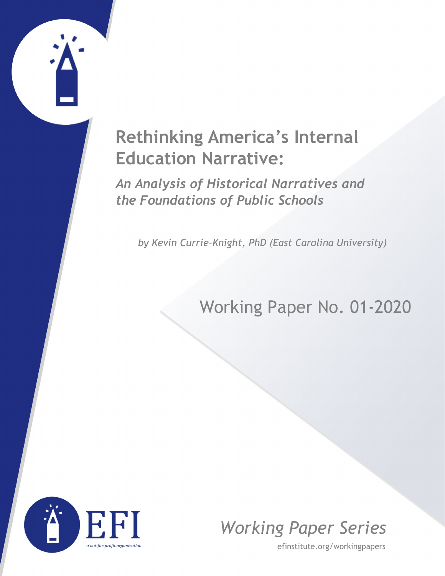# **Rethinking America's Internal Education Narrative:**

*An Analysis of Historical Narratives and the Foundations of Public Schools*

*by Kevin Currie-Knight, PhD (East Carolina University)*

## Working Paper No. 01-2020





efinstitute.org/workingpapers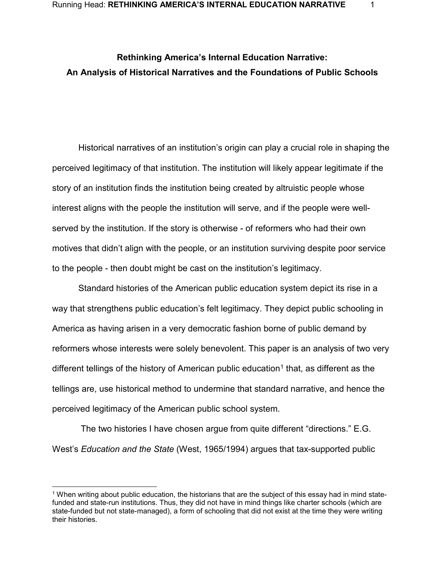### **Rethinking America's Internal Education Narrative: An Analysis of Historical Narratives and the Foundations of Public Schools**

Historical narratives of an institution's origin can play a crucial role in shaping the perceived legitimacy of that institution. The institution will likely appear legitimate if the story of an institution finds the institution being created by altruistic people whose interest aligns with the people the institution will serve, and if the people were wellserved by the institution. If the story is otherwise - of reformers who had their own motives that didn't align with the people, or an institution surviving despite poor service to the people - then doubt might be cast on the institution's legitimacy.

Standard histories of the American public education system depict its rise in a way that strengthens public education's felt legitimacy. They depict public schooling in America as having arisen in a very democratic fashion borne of public demand by reformers whose interests were solely benevolent. This paper is an analysis of two very different tellings of the history of American public education<sup>[1](#page-1-0)</sup> that, as different as the tellings are, use historical method to undermine that standard narrative, and hence the perceived legitimacy of the American public school system.

The two histories I have chosen argue from quite different "directions." E.G. West's *Education and the State* [\(West, 1965/1994\)](https://paperpile.com/c/GKGpPe/nM9N) argues that tax-supported public

<span id="page-1-0"></span> <sup>1</sup> When writing about public education, the historians that are the subject of this essay had in mind statefunded and state-run institutions. Thus, they did not have in mind things like charter schools (which are state-funded but not state-managed), a form of schooling that did not exist at the time they were writing their histories.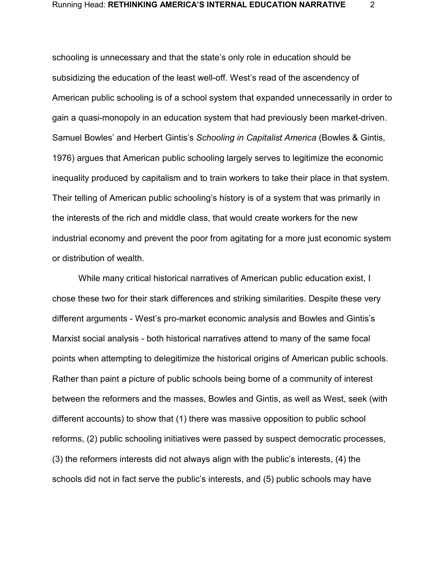schooling is unnecessary and that the state's only role in education should be subsidizing the education of the least well-off. West's read of the ascendency of American public schooling is of a school system that expanded unnecessarily in order to gain a quasi-monopoly in an education system that had previously been market-driven. Samuel Bowles' and Herbert Gintis's *Schooling in Capitalist America* [\(Bowles & Gintis,](https://paperpile.com/c/GKGpPe/rHZT)  [1976\)](https://paperpile.com/c/GKGpPe/rHZT) argues that American public schooling largely serves to legitimize the economic inequality produced by capitalism and to train workers to take their place in that system. Their telling of American public schooling's history is of a system that was primarily in the interests of the rich and middle class, that would create workers for the new industrial economy and prevent the poor from agitating for a more just economic system or distribution of wealth.

While many critical historical narratives of American public education exist, I chose these two for their stark differences and striking similarities. Despite these very different arguments - West's pro-market economic analysis and Bowles and Gintis's Marxist social analysis - both historical narratives attend to many of the same focal points when attempting to delegitimize the historical origins of American public schools. Rather than paint a picture of public schools being borne of a community of interest between the reformers and the masses, Bowles and Gintis, as well as West, seek (with different accounts) to show that (1) there was massive opposition to public school reforms, (2) public schooling initiatives were passed by suspect democratic processes, (3) the reformers interests did not always align with the public's interests, (4) the schools did not in fact serve the public's interests, and (5) public schools may have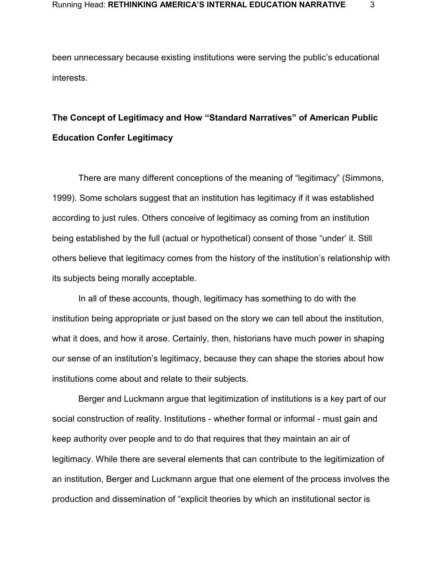been unnecessary because existing institutions were serving the public's educational interests.

### **The Concept of Legitimacy and How "Standard Narratives" of American Public Education Confer Legitimacy**

There are many different conceptions of the meaning of "legitimacy" [\(Simmons,](https://paperpile.com/c/GKGpPe/XyZF)  [1999\).](https://paperpile.com/c/GKGpPe/XyZF) Some scholars suggest that an institution has legitimacy if it was established according to just rules. Others conceive of legitimacy as coming from an institution being established by the full (actual or hypothetical) consent of those "under' it. Still others believe that legitimacy comes from the history of the institution's relationship with its subjects being morally acceptable.

In all of these accounts, though, legitimacy has something to do with the institution being appropriate or just based on the story we can tell about the institution, what it does, and how it arose. Certainly, then, historians have much power in shaping our sense of an institution's legitimacy, because they can shape the stories about how institutions come about and relate to their subjects.

Berger and Luckmann argue that legitimization of institutions is a key part of our social construction of reality. Institutions - whether formal or informal - must gain and keep authority over people and to do that requires that they maintain an air of legitimacy. While there are several elements that can contribute to the legitimization of an institution, Berger and Luckmann argue that one element of the process involves the production and dissemination of "explicit theories by which an institutional sector is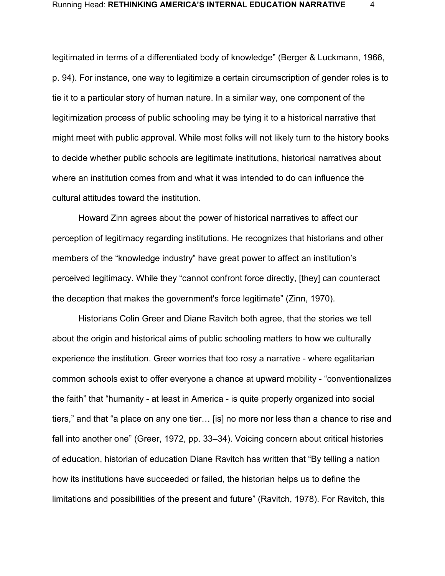legitimated in terms of a differentiated body of knowledge" [\(Berger & Luckmann, 1966,](https://paperpile.com/c/GKGpPe/5HJR/?locator=94)  [p. 94\).](https://paperpile.com/c/GKGpPe/5HJR/?locator=94) For instance, one way to legitimize a certain circumscription of gender roles is to tie it to a particular story of human nature. In a similar way, one component of the legitimization process of public schooling may be tying it to a historical narrative that might meet with public approval. While most folks will not likely turn to the history books to decide whether public schools are legitimate institutions, historical narratives about where an institution comes from and what it was intended to do can influence the cultural attitudes toward the institution.

Howard Zinn agrees about the power of historical narratives to affect our perception of legitimacy regarding institutions. He recognizes that historians and other members of the "knowledge industry" have great power to affect an institution's perceived legitimacy. While they "cannot confront force directly, [they] can counteract the deception that makes the government's force legitimate" [\(Zinn, 1970\).](https://paperpile.com/c/GKGpPe/O0w9)

Historians Colin Greer and Diane Ravitch both agree, that the stories we tell about the origin and historical aims of public schooling matters to how we culturally experience the institution. Greer worries that too rosy a narrative - where egalitarian common schools exist to offer everyone a chance at upward mobility - "conventionalizes the faith" that "humanity - at least in America - is quite properly organized into social tiers," and that "a place on any one tier… [is] no more nor less than a chance to rise and fall into another one" [\(Greer, 1972, pp. 33–34\).](https://paperpile.com/c/GKGpPe/JENe/?locator=33-34) Voicing concern about critical histories of education, historian of education Diane Ravitch has written that "By telling a nation how its institutions have succeeded or failed, the historian helps us to define the limitations and possibilities of the present and future" [\(Ravitch, 1978\).](https://paperpile.com/c/GKGpPe/cAYC) For Ravitch, this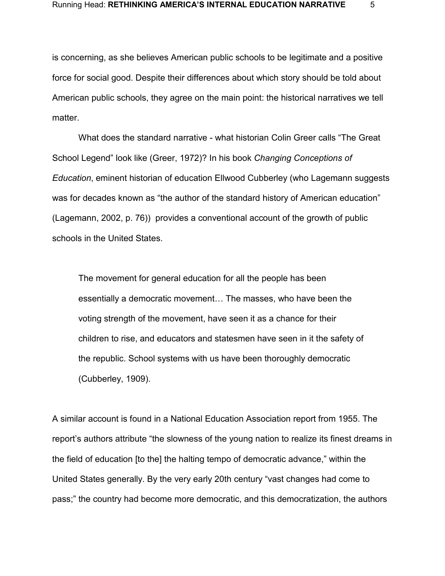is concerning, as she believes American public schools to be legitimate and a positive force for social good. Despite their differences about which story should be told about American public schools, they agree on the main point: the historical narratives we tell matter.

What does the standard narrative - what historian Colin Greer calls "The Great School Legend" look like [\(Greer, 1972\)?](https://paperpile.com/c/GKGpPe/JENe) In his book *Changing Conceptions of Education*, eminent historian of education Ellwood Cubberley (who Lagemann suggests was for decades known as "the author of the standard history of American education" [\(Lagemann, 2002, p. 76\)\)](https://paperpile.com/c/GKGpPe/Rcrz/?locator=76) provides a conventional account of the growth of public schools in the United States.

The movement for general education for all the people has been essentially a democratic movement… The masses, who have been the voting strength of the movement, have seen it as a chance for their children to rise, and educators and statesmen have seen in it the safety of the republic. School systems with us have been thoroughly democratic [\(Cubberley, 1909\).](https://paperpile.com/c/GKGpPe/NGTI)

A similar account is found in a National Education Association report from 1955. The report's authors attribute "the slowness of the young nation to realize its finest dreams in the field of education [to the] the halting tempo of democratic advance," within the United States generally. By the very early 20th century "vast changes had come to pass;" the country had become more democratic, and this democratization, the authors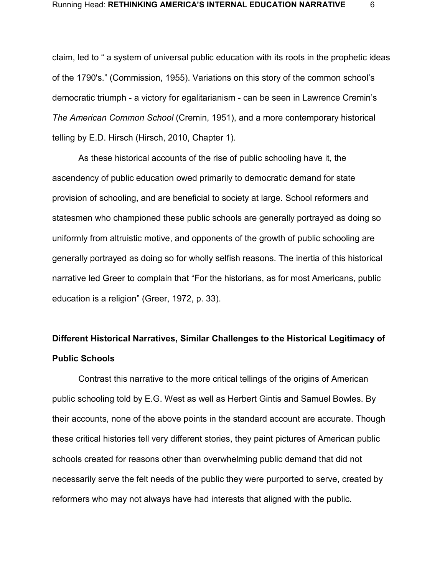claim, led to " a system of universal public education with its roots in the prophetic ideas of the 1790's." [\(Commission, 1955\).](https://paperpile.com/c/GKGpPe/JR2T) Variations on this story of the common school's democratic triumph - a victory for egalitarianism - can be seen in Lawrence Cremin's *The American Common School* [\(Cremin, 1951\),](https://paperpile.com/c/GKGpPe/KqWK) and a more contemporary historical telling by E.D. Hirsch [\(Hirsch, 2010, Chapter 1\).](https://paperpile.com/c/GKGpPe/yow8/?locator_label=chapter&locator=1)

As these historical accounts of the rise of public schooling have it, the ascendency of public education owed primarily to democratic demand for state provision of schooling, and are beneficial to society at large. School reformers and statesmen who championed these public schools are generally portrayed as doing so uniformly from altruistic motive, and opponents of the growth of public schooling are generally portrayed as doing so for wholly selfish reasons. The inertia of this historical narrative led Greer to complain that "For the historians, as for most Americans, public education is a religion" [\(Greer, 1972, p. 33\).](https://paperpile.com/c/GKGpPe/JENe/?locator=33)

### **Different Historical Narratives, Similar Challenges to the Historical Legitimacy of Public Schools**

Contrast this narrative to the more critical tellings of the origins of American public schooling told by E.G. West as well as Herbert Gintis and Samuel Bowles. By their accounts, none of the above points in the standard account are accurate. Though these critical histories tell very different stories, they paint pictures of American public schools created for reasons other than overwhelming public demand that did not necessarily serve the felt needs of the public they were purported to serve, created by reformers who may not always have had interests that aligned with the public.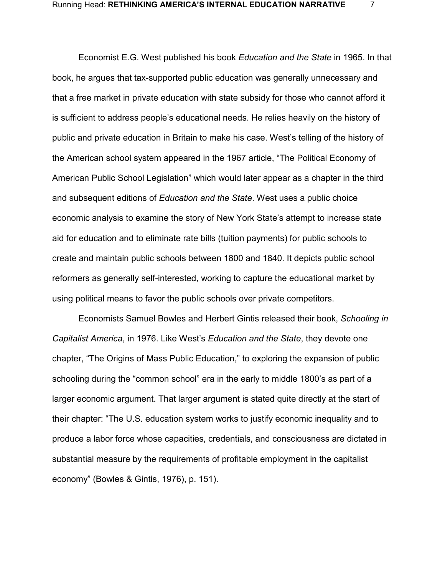Economist E.G. West published his book *Education and the State* in 1965. In that book, he argues that tax-supported public education was generally unnecessary and that a free market in private education with state subsidy for those who cannot afford it is sufficient to address people's educational needs. He relies heavily on the history of public and private education in Britain to make his case. West's telling of the history of the American school system appeared in the 1967 article, "The Political Economy of American Public School Legislation" which would later appear as a chapter in the third and subsequent editions of *Education and the State*. West uses a public choice economic analysis to examine the story of New York State's attempt to increase state aid for education and to eliminate rate bills (tuition payments) for public schools to create and maintain public schools between 1800 and 1840. It depicts public school reformers as generally self-interested, working to capture the educational market by using political means to favor the public schools over private competitors.

Economists Samuel Bowles and Herbert Gintis released their book, *Schooling in Capitalist America*, in 1976. Like West's *Education and the State*, they devote one chapter, "The Origins of Mass Public Education," to exploring the expansion of public schooling during the "common school" era in the early to middle 1800's as part of a larger economic argument. That larger argument is stated quite directly at the start of their chapter: "The U.S. education system works to justify economic inequality and to produce a labor force whose capacities, credentials, and consciousness are dictated in substantial measure by the requirements of profitable employment in the capitalist economy" [\(Bowles & Gintis, 1976\),](https://paperpile.com/c/GKGpPe/rHZT) p. 151).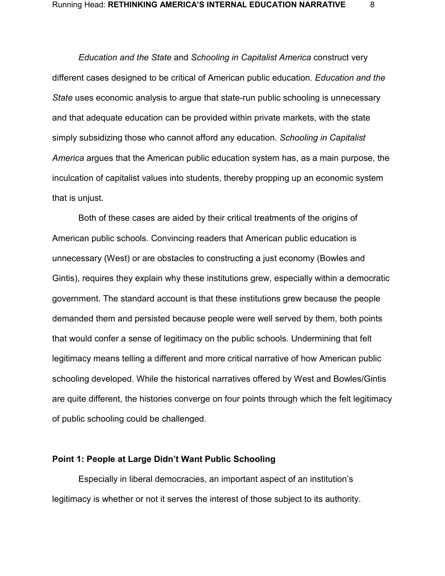*Education and the State* and *Schooling in Capitalist America* construct very different cases designed to be critical of American public education. *Education and the State* uses economic analysis to argue that state-run public schooling is unnecessary and that adequate education can be provided within private markets, with the state simply subsidizing those who cannot afford any education. *Schooling in Capitalist America* argues that the American public education system has, as a main purpose, the inculcation of capitalist values into students, thereby propping up an economic system that is unjust.

Both of these cases are aided by their critical treatments of the origins of American public schools. Convincing readers that American public education is unnecessary (West) or are obstacles to constructing a just economy (Bowles and Gintis), requires they explain why these institutions grew, especially within a democratic government. The standard account is that these institutions grew because the people demanded them and persisted because people were well served by them, both points that would confer a sense of legitimacy on the public schools. Undermining that felt legitimacy means telling a different and more critical narrative of how American public schooling developed. While the historical narratives offered by West and Bowles/Gintis are quite different, the histories converge on four points through which the felt legitimacy of public schooling could be challenged.

#### **Point 1: People at Large Didn't Want Public Schooling**

Especially in liberal democracies, an important aspect of an institution's legitimacy is whether or not it serves the interest of those subject to its authority.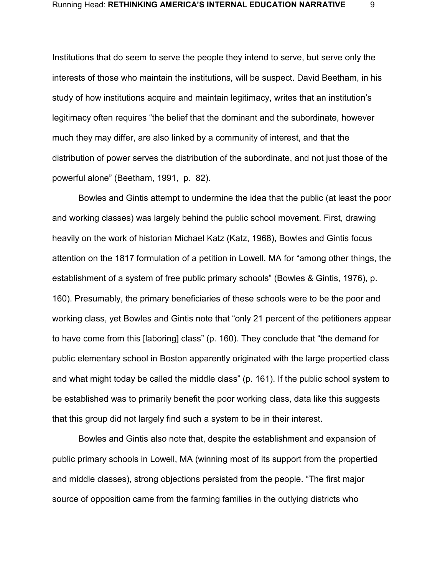Institutions that do seem to serve the people they intend to serve, but serve only the interests of those who maintain the institutions, will be suspect. David Beetham, in his study of how institutions acquire and maintain legitimacy, writes that an institution's legitimacy often requires "the belief that the dominant and the subordinate, however much they may differ, are also linked by a community of interest, and that the distribution of power serves the distribution of the subordinate, and not just those of the powerful alone" [\(Beetham, 1991,](https://paperpile.com/c/GKGpPe/BZLC) p. 82).

Bowles and Gintis attempt to undermine the idea that the public (at least the poor and working classes) was largely behind the public school movement. First, drawing heavily on the work of historian Michael Katz [\(Katz, 1968\),](https://paperpile.com/c/GKGpPe/7S0S) Bowles and Gintis focus attention on the 1817 formulation of a petition in Lowell, MA for "among other things, the establishment of a system of free public primary schools" [\(Bowles & Gintis, 1976\),](https://paperpile.com/c/GKGpPe/rHZT) p. 160). Presumably, the primary beneficiaries of these schools were to be the poor and working class, yet Bowles and Gintis note that "only 21 percent of the petitioners appear to have come from this [laboring] class" (p. 160). They conclude that "the demand for public elementary school in Boston apparently originated with the large propertied class and what might today be called the middle class" (p. 161). If the public school system to be established was to primarily benefit the poor working class, data like this suggests that this group did not largely find such a system to be in their interest.

Bowles and Gintis also note that, despite the establishment and expansion of public primary schools in Lowell, MA (winning most of its support from the propertied and middle classes), strong objections persisted from the people. "The first major source of opposition came from the farming families in the outlying districts who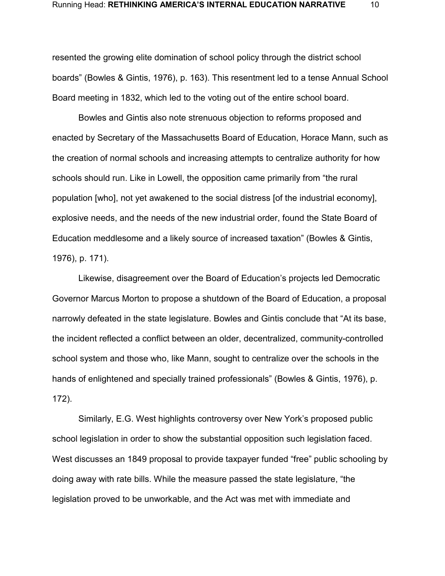resented the growing elite domination of school policy through the district school boards" [\(Bowles & Gintis, 1976\),](https://paperpile.com/c/GKGpPe/rHZT) p. 163). This resentment led to a tense Annual School Board meeting in 1832, which led to the voting out of the entire school board.

Bowles and Gintis also note strenuous objection to reforms proposed and enacted by Secretary of the Massachusetts Board of Education, Horace Mann, such as the creation of normal schools and increasing attempts to centralize authority for how schools should run. Like in Lowell, the opposition came primarily from "the rural population [who], not yet awakened to the social distress [of the industrial economy], explosive needs, and the needs of the new industrial order, found the State Board of Education meddlesome and a likely source of increased taxation" [\(Bowles & Gintis,](https://paperpile.com/c/GKGpPe/rHZT)  [1976\),](https://paperpile.com/c/GKGpPe/rHZT) p. 171).

Likewise, disagreement over the Board of Education's projects led Democratic Governor Marcus Morton to propose a shutdown of the Board of Education, a proposal narrowly defeated in the state legislature. Bowles and Gintis conclude that "At its base, the incident reflected a conflict between an older, decentralized, community-controlled school system and those who, like Mann, sought to centralize over the schools in the hands of enlightened and specially trained professionals" [\(Bowles & Gintis, 1976\),](https://paperpile.com/c/GKGpPe/rHZT) p. 172).

Similarly, E.G. West highlights controversy over New York's proposed public school legislation in order to show the substantial opposition such legislation faced. West discusses an 1849 proposal to provide taxpayer funded "free" public schooling by doing away with rate bills. While the measure passed the state legislature, "the legislation proved to be unworkable, and the Act was met with immediate and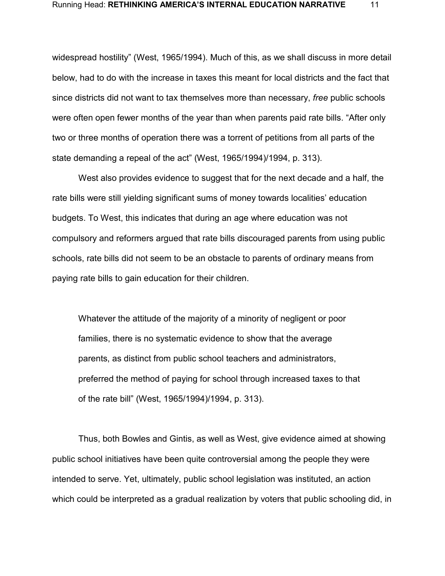widespread hostility" [\(West, 1965/1994\).](https://paperpile.com/c/GKGpPe/nM9N) Much of this, as we shall discuss in more detail below, had to do with the increase in taxes this meant for local districts and the fact that since districts did not want to tax themselves more than necessary, *free* public schools were often open fewer months of the year than when parents paid rate bills. "After only two or three months of operation there was a torrent of petitions from all parts of the state demanding a repeal of the act" [\(West, 1965/1994\)/](https://paperpile.com/c/GKGpPe/nM9N)1994, p. 313).

West also provides evidence to suggest that for the next decade and a half, the rate bills were still yielding significant sums of money towards localities' education budgets. To West, this indicates that during an age where education was not compulsory and reformers argued that rate bills discouraged parents from using public schools, rate bills did not seem to be an obstacle to parents of ordinary means from paying rate bills to gain education for their children.

Whatever the attitude of the majority of a minority of negligent or poor families, there is no systematic evidence to show that the average parents, as distinct from public school teachers and administrators, preferred the method of paying for school through increased taxes to that of the rate bill" [\(West, 1965/1994\)/](https://paperpile.com/c/GKGpPe/nM9N)1994, p. 313).

Thus, both Bowles and Gintis, as well as West, give evidence aimed at showing public school initiatives have been quite controversial among the people they were intended to serve. Yet, ultimately, public school legislation was instituted, an action which could be interpreted as a gradual realization by voters that public schooling did, in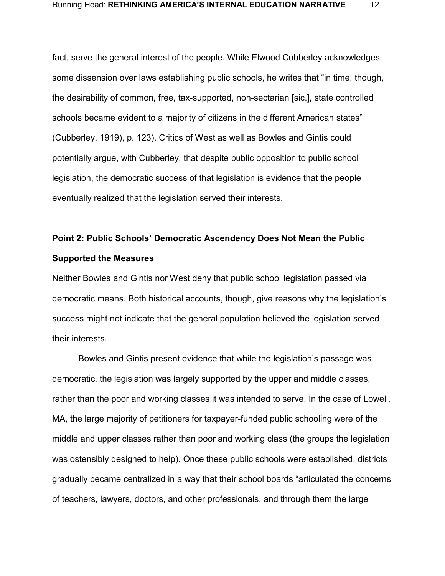fact, serve the general interest of the people. While Elwood Cubberley acknowledges some dissension over laws establishing public schools, he writes that "in time, though, the desirability of common, free, tax-supported, non-sectarian [sic.], state controlled schools became evident to a majority of citizens in the different American states" [\(Cubberley, 1919\),](https://paperpile.com/c/GKGpPe/leOW) p. 123). Critics of West as well as Bowles and Gintis could potentially argue, with Cubberley, that despite public opposition to public school legislation, the democratic success of that legislation is evidence that the people eventually realized that the legislation served their interests.

### **Point 2: Public Schools' Democratic Ascendency Does Not Mean the Public Supported the Measures**

Neither Bowles and Gintis nor West deny that public school legislation passed via democratic means. Both historical accounts, though, give reasons why the legislation's success might not indicate that the general population believed the legislation served their interests.

Bowles and Gintis present evidence that while the legislation's passage was democratic, the legislation was largely supported by the upper and middle classes, rather than the poor and working classes it was intended to serve. In the case of Lowell, MA, the large majority of petitioners for taxpayer-funded public schooling were of the middle and upper classes rather than poor and working class (the groups the legislation was ostensibly designed to help). Once these public schools were established, districts gradually became centralized in a way that their school boards "articulated the concerns of teachers, lawyers, doctors, and other professionals, and through them the large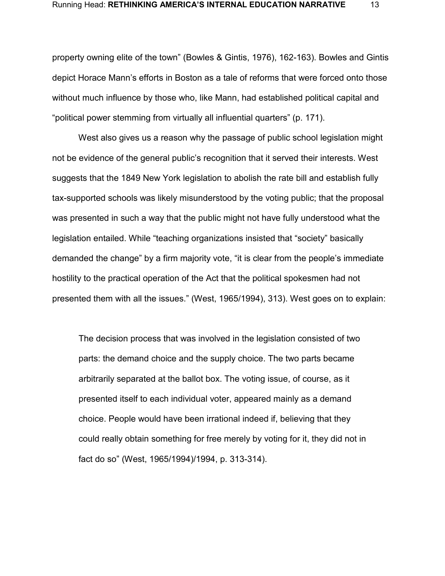property owning elite of the town" [\(Bowles & Gintis, 1976\),](https://paperpile.com/c/GKGpPe/rHZT) 162-163). Bowles and Gintis depict Horace Mann's efforts in Boston as a tale of reforms that were forced onto those without much influence by those who, like Mann, had established political capital and "political power stemming from virtually all influential quarters" (p. 171).

West also gives us a reason why the passage of public school legislation might not be evidence of the general public's recognition that it served their interests. West suggests that the 1849 New York legislation to abolish the rate bill and establish fully tax-supported schools was likely misunderstood by the voting public; that the proposal was presented in such a way that the public might not have fully understood what the legislation entailed. While "teaching organizations insisted that "society" basically demanded the change" by a firm majority vote, "it is clear from the people's immediate hostility to the practical operation of the Act that the political spokesmen had not presented them with all the issues." [\(West, 1965/1994\),](https://paperpile.com/c/GKGpPe/nM9N) 313). West goes on to explain:

The decision process that was involved in the legislation consisted of two parts: the demand choice and the supply choice. The two parts became arbitrarily separated at the ballot box. The voting issue, of course, as it presented itself to each individual voter, appeared mainly as a demand choice. People would have been irrational indeed if, believing that they could really obtain something for free merely by voting for it, they did not in fact do so" [\(West, 1965/1994\)/](https://paperpile.com/c/GKGpPe/nM9N)1994, p. 313-314).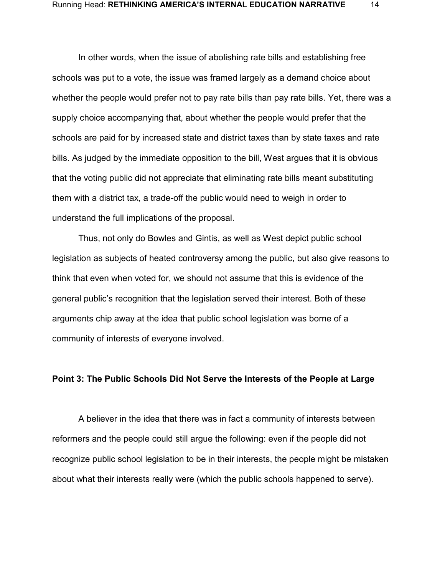In other words, when the issue of abolishing rate bills and establishing free schools was put to a vote, the issue was framed largely as a demand choice about whether the people would prefer not to pay rate bills than pay rate bills. Yet, there was a supply choice accompanying that, about whether the people would prefer that the schools are paid for by increased state and district taxes than by state taxes and rate bills. As judged by the immediate opposition to the bill, West argues that it is obvious that the voting public did not appreciate that eliminating rate bills meant substituting them with a district tax, a trade-off the public would need to weigh in order to understand the full implications of the proposal.

Thus, not only do Bowles and Gintis, as well as West depict public school legislation as subjects of heated controversy among the public, but also give reasons to think that even when voted for, we should not assume that this is evidence of the general public's recognition that the legislation served their interest. Both of these arguments chip away at the idea that public school legislation was borne of a community of interests of everyone involved.

#### **Point 3: The Public Schools Did Not Serve the Interests of the People at Large**

A believer in the idea that there was in fact a community of interests between reformers and the people could still argue the following: even if the people did not recognize public school legislation to be in their interests, the people might be mistaken about what their interests really were (which the public schools happened to serve).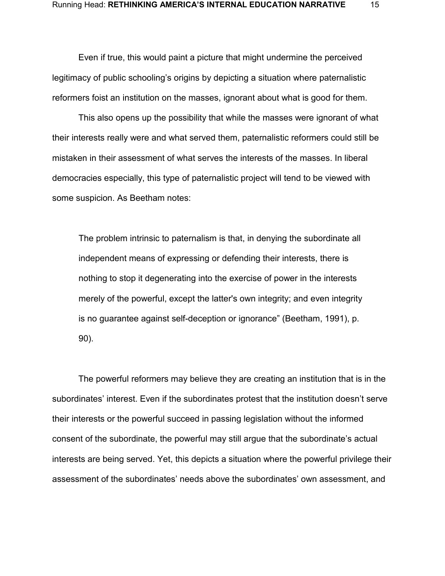Even if true, this would paint a picture that might undermine the perceived legitimacy of public schooling's origins by depicting a situation where paternalistic reformers foist an institution on the masses, ignorant about what is good for them.

This also opens up the possibility that while the masses were ignorant of what their interests really were and what served them, paternalistic reformers could still be mistaken in their assessment of what serves the interests of the masses. In liberal democracies especially, this type of paternalistic project will tend to be viewed with some suspicion. As Beetham notes:

The problem intrinsic to paternalism is that, in denying the subordinate all independent means of expressing or defending their interests, there is nothing to stop it degenerating into the exercise of power in the interests merely of the powerful, except the latter's own integrity; and even integrity is no guarantee against self-deception or ignorance" [\(Beetham, 1991\),](https://paperpile.com/c/GKGpPe/BZLC) p. 90).

The powerful reformers may believe they are creating an institution that is in the subordinates' interest. Even if the subordinates protest that the institution doesn't serve their interests or the powerful succeed in passing legislation without the informed consent of the subordinate, the powerful may still argue that the subordinate's actual interests are being served. Yet, this depicts a situation where the powerful privilege their assessment of the subordinates' needs above the subordinates' own assessment, and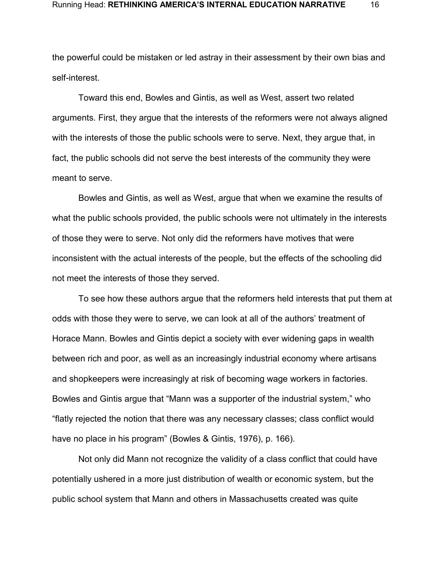the powerful could be mistaken or led astray in their assessment by their own bias and self-interest.

Toward this end, Bowles and Gintis, as well as West, assert two related arguments. First, they argue that the interests of the reformers were not always aligned with the interests of those the public schools were to serve. Next, they argue that, in fact, the public schools did not serve the best interests of the community they were meant to serve.

Bowles and Gintis, as well as West, argue that when we examine the results of what the public schools provided, the public schools were not ultimately in the interests of those they were to serve. Not only did the reformers have motives that were inconsistent with the actual interests of the people, but the effects of the schooling did not meet the interests of those they served.

To see how these authors argue that the reformers held interests that put them at odds with those they were to serve, we can look at all of the authors' treatment of Horace Mann. Bowles and Gintis depict a society with ever widening gaps in wealth between rich and poor, as well as an increasingly industrial economy where artisans and shopkeepers were increasingly at risk of becoming wage workers in factories. Bowles and Gintis argue that "Mann was a supporter of the industrial system," who "flatly rejected the notion that there was any necessary classes; class conflict would have no place in his program" [\(Bowles & Gintis, 1976\),](https://paperpile.com/c/GKGpPe/rHZT) p. 166).

Not only did Mann not recognize the validity of a class conflict that could have potentially ushered in a more just distribution of wealth or economic system, but the public school system that Mann and others in Massachusetts created was quite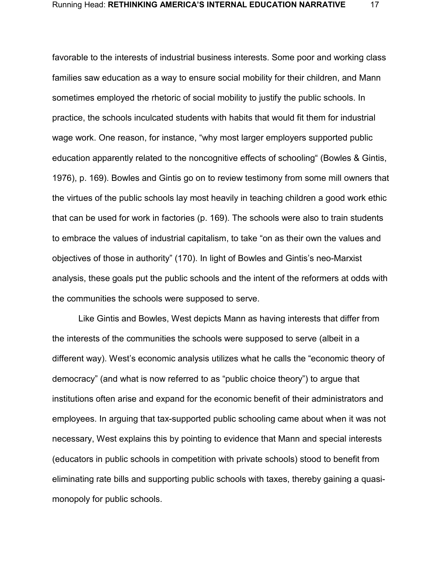favorable to the interests of industrial business interests. Some poor and working class families saw education as a way to ensure social mobility for their children, and Mann sometimes employed the rhetoric of social mobility to justify the public schools. In practice, the schools inculcated students with habits that would fit them for industrial wage work. One reason, for instance, "why most larger employers supported public education apparently related to the noncognitive effects of schooling" [\(Bowles & Gintis,](https://paperpile.com/c/GKGpPe/rHZT)  [1976\),](https://paperpile.com/c/GKGpPe/rHZT) p. 169). Bowles and Gintis go on to review testimony from some mill owners that the virtues of the public schools lay most heavily in teaching children a good work ethic that can be used for work in factories (p. 169). The schools were also to train students to embrace the values of industrial capitalism, to take "on as their own the values and objectives of those in authority" (170). In light of Bowles and Gintis's neo-Marxist analysis, these goals put the public schools and the intent of the reformers at odds with the communities the schools were supposed to serve.

Like Gintis and Bowles, West depicts Mann as having interests that differ from the interests of the communities the schools were supposed to serve (albeit in a different way). West's economic analysis utilizes what he calls the "economic theory of democracy" (and what is now referred to as "public choice theory") to argue that institutions often arise and expand for the economic benefit of their administrators and employees. In arguing that tax-supported public schooling came about when it was not necessary, West explains this by pointing to evidence that Mann and special interests (educators in public schools in competition with private schools) stood to benefit from eliminating rate bills and supporting public schools with taxes, thereby gaining a quasimonopoly for public schools.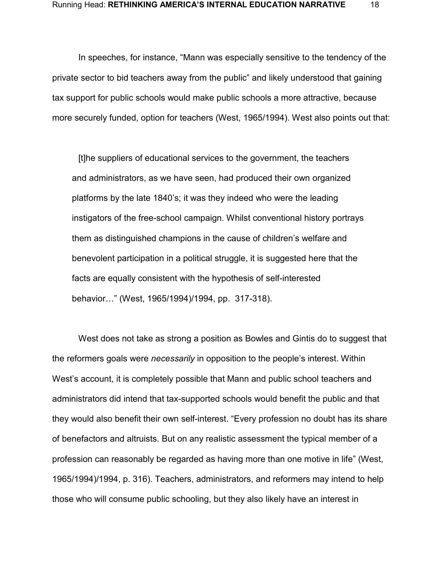In speeches, for instance, "Mann was especially sensitive to the tendency of the private sector to bid teachers away from the public" and likely understood that gaining tax support for public schools would make public schools a more attractive, because more securely funded, option for teachers [\(West, 1965/1994\).](https://paperpile.com/c/GKGpPe/nM9N) West also points out that:

[t]he suppliers of educational services to the government, the teachers and administrators, as we have seen, had produced their own organized platforms by the late 1840's; it was they indeed who were the leading instigators of the free-school campaign. Whilst conventional history portrays them as distinguished champions in the cause of children's welfare and benevolent participation in a political struggle, it is suggested here that the facts are equally consistent with the hypothesis of self-interested behavior…" [\(West, 1965/1994\)/](https://paperpile.com/c/GKGpPe/nM9N)1994, pp. 317-318).

West does not take as strong a position as Bowles and Gintis do to suggest that the reformers goals were *necessarily* in opposition to the people's interest. Within West's account, it is completely possible that Mann and public school teachers and administrators did intend that tax-supported schools would benefit the public and that they would also benefit their own self-interest. "Every profession no doubt has its share of benefactors and altruists. But on any realistic assessment the typical member of a profession can reasonably be regarded as having more than one motive in life" [\(West,](https://paperpile.com/c/GKGpPe/nM9N)  [1965/1994\)/](https://paperpile.com/c/GKGpPe/nM9N)1994, p. 316). Teachers, administrators, and reformers may intend to help those who will consume public schooling, but they also likely have an interest in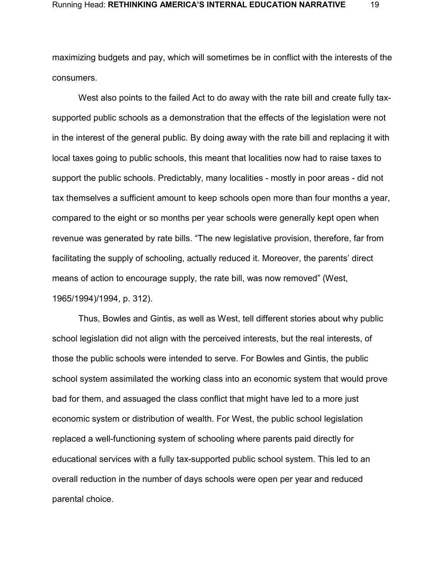maximizing budgets and pay, which will sometimes be in conflict with the interests of the consumers.

West also points to the failed Act to do away with the rate bill and create fully taxsupported public schools as a demonstration that the effects of the legislation were not in the interest of the general public. By doing away with the rate bill and replacing it with local taxes going to public schools, this meant that localities now had to raise taxes to support the public schools. Predictably, many localities - mostly in poor areas - did not tax themselves a sufficient amount to keep schools open more than four months a year, compared to the eight or so months per year schools were generally kept open when revenue was generated by rate bills. "The new legislative provision, therefore, far from facilitating the supply of schooling, actually reduced it. Moreover, the parents' direct means of action to encourage supply, the rate bill, was now removed" [\(West,](https://paperpile.com/c/GKGpPe/nM9N)  [1965/1994\)/](https://paperpile.com/c/GKGpPe/nM9N)1994, p. 312).

Thus, Bowles and Gintis, as well as West, tell different stories about why public school legislation did not align with the perceived interests, but the real interests, of those the public schools were intended to serve. For Bowles and Gintis, the public school system assimilated the working class into an economic system that would prove bad for them, and assuaged the class conflict that might have led to a more just economic system or distribution of wealth. For West, the public school legislation replaced a well-functioning system of schooling where parents paid directly for educational services with a fully tax-supported public school system. This led to an overall reduction in the number of days schools were open per year and reduced parental choice.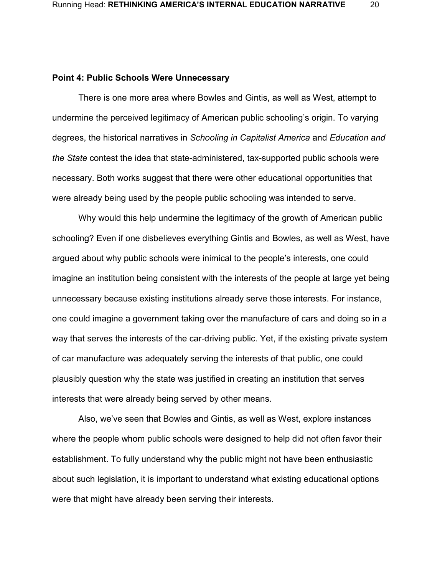#### **Point 4: Public Schools Were Unnecessary**

There is one more area where Bowles and Gintis, as well as West, attempt to undermine the perceived legitimacy of American public schooling's origin. To varying degrees, the historical narratives in *Schooling in Capitalist America* and *Education and the State* contest the idea that state-administered, tax-supported public schools were necessary. Both works suggest that there were other educational opportunities that were already being used by the people public schooling was intended to serve.

Why would this help undermine the legitimacy of the growth of American public schooling? Even if one disbelieves everything Gintis and Bowles, as well as West, have argued about why public schools were inimical to the people's interests, one could imagine an institution being consistent with the interests of the people at large yet being unnecessary because existing institutions already serve those interests. For instance, one could imagine a government taking over the manufacture of cars and doing so in a way that serves the interests of the car-driving public. Yet, if the existing private system of car manufacture was adequately serving the interests of that public, one could plausibly question why the state was justified in creating an institution that serves interests that were already being served by other means.

Also, we've seen that Bowles and Gintis, as well as West, explore instances where the people whom public schools were designed to help did not often favor their establishment. To fully understand why the public might not have been enthusiastic about such legislation, it is important to understand what existing educational options were that might have already been serving their interests.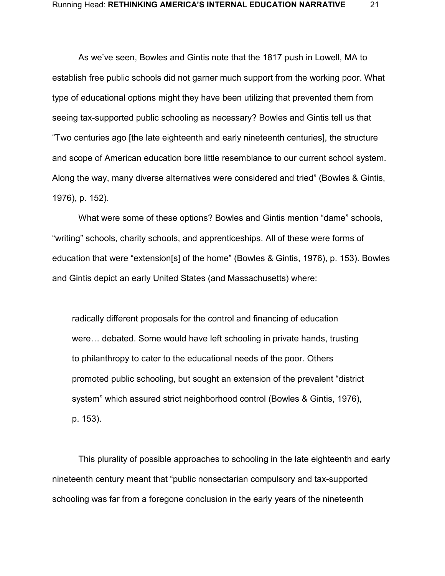As we've seen, Bowles and Gintis note that the 1817 push in Lowell, MA to establish free public schools did not garner much support from the working poor. What type of educational options might they have been utilizing that prevented them from seeing tax-supported public schooling as necessary? Bowles and Gintis tell us that "Two centuries ago [the late eighteenth and early nineteenth centuries], the structure and scope of American education bore little resemblance to our current school system. Along the way, many diverse alternatives were considered and tried" [\(Bowles & Gintis,](https://paperpile.com/c/GKGpPe/rHZT)  [1976\),](https://paperpile.com/c/GKGpPe/rHZT) p. 152).

What were some of these options? Bowles and Gintis mention "dame" schools, "writing" schools, charity schools, and apprenticeships. All of these were forms of education that were "extension[s] of the home" [\(Bowles & Gintis, 1976\),](https://paperpile.com/c/GKGpPe/rHZT) p. 153). Bowles and Gintis depict an early United States (and Massachusetts) where:

radically different proposals for the control and financing of education were… debated. Some would have left schooling in private hands, trusting to philanthropy to cater to the educational needs of the poor. Others promoted public schooling, but sought an extension of the prevalent "district system" which assured strict neighborhood control [\(Bowles & Gintis, 1976\),](https://paperpile.com/c/GKGpPe/rHZT) p. 153).

This plurality of possible approaches to schooling in the late eighteenth and early nineteenth century meant that "public nonsectarian compulsory and tax-supported schooling was far from a foregone conclusion in the early years of the nineteenth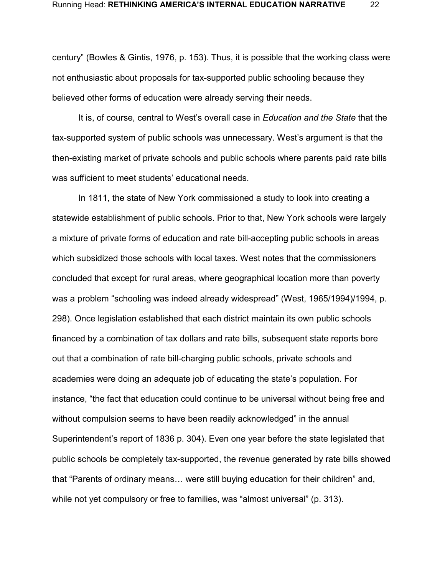century" [\(Bowles & Gintis, 1976,](https://paperpile.com/c/GKGpPe/rHZT) p. 153). Thus, it is possible that the working class were not enthusiastic about proposals for tax-supported public schooling because they believed other forms of education were already serving their needs.

It is, of course, central to West's overall case in *Education and the State* that the tax-supported system of public schools was unnecessary. West's argument is that the then-existing market of private schools and public schools where parents paid rate bills was sufficient to meet students' educational needs.

In 1811, the state of New York commissioned a study to look into creating a statewide establishment of public schools. Prior to that, New York schools were largely a mixture of private forms of education and rate bill-accepting public schools in areas which subsidized those schools with local taxes. West notes that the commissioners concluded that except for rural areas, where geographical location more than poverty was a problem "schooling was indeed already widespread" [\(West, 1965/1994\)/](https://paperpile.com/c/GKGpPe/nM9N)1994, p. 298). Once legislation established that each district maintain its own public schools financed by a combination of tax dollars and rate bills, subsequent state reports bore out that a combination of rate bill-charging public schools, private schools and academies were doing an adequate job of educating the state's population. For instance, "the fact that education could continue to be universal without being free and without compulsion seems to have been readily acknowledged" in the annual Superintendent's report of 1836 p. 304). Even one year before the state legislated that public schools be completely tax-supported, the revenue generated by rate bills showed that "Parents of ordinary means… were still buying education for their children" and, while not yet compulsory or free to families, was "almost universal" (p. 313).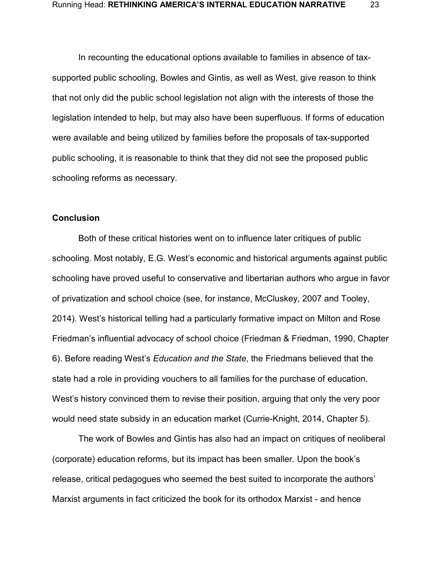In recounting the educational options available to families in absence of taxsupported public schooling, Bowles and Gintis, as well as West, give reason to think that not only did the public school legislation not align with the interests of those the legislation intended to help, but may also have been superfluous. If forms of education were available and being utilized by families before the proposals of tax-supported public schooling, it is reasonable to think that they did not see the proposed public schooling reforms as necessary.

### **Conclusion**

Both of these critical histories went on to influence later critiques of public schooling. Most notably, E.G. West's economic and historical arguments against public schooling have proved useful to conservative and libertarian authors who argue in favor of privatization and school choice (see, for instance, [McCluskey, 2007](https://paperpile.com/c/GKGpPe/pKQy+jFfL) [and](https://paperpile.com/c/GKGpPe/pKQy+jFfL) [Tooley,](https://paperpile.com/c/GKGpPe/pKQy+jFfL)  [2014\).](https://paperpile.com/c/GKGpPe/pKQy+jFfL) West's historical telling had a particularly formative impact on Milton and Rose Friedman's influential advocacy of school choice [\(Friedman & Friedman, 1990, Chapter](https://paperpile.com/c/GKGpPe/YMEM/?locator_label=chapter&locator=6)  [6\).](https://paperpile.com/c/GKGpPe/YMEM/?locator_label=chapter&locator=6) Before reading West's *Education and the State*, the Friedmans believed that the state had a role in providing vouchers to all families for the purchase of education. West's history convinced them to revise their position, arguing that only the very poor would need state subsidy in an education market [\(Currie-Knight, 2014, Chapter 5\).](https://paperpile.com/c/GKGpPe/GfaK/?locator_label=chapter&locator=5)

The work of Bowles and Gintis has also had an impact on critiques of neoliberal (corporate) education reforms, but its impact has been smaller. Upon the book's release, critical pedagogues who seemed the best suited to incorporate the authors' Marxist arguments in fact criticized the book for its orthodox Marxist - and hence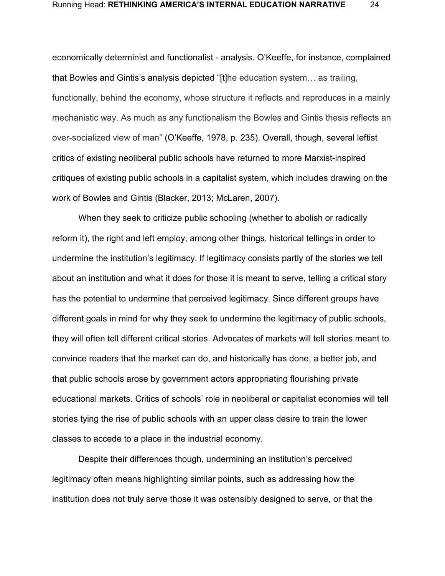economically determinist and functionalist - analysis. O'Keeffe, for instance, complained that Bowles and Gintis's analysis depicted "[t]he education system… as trailing, functionally, behind the economy, whose structure it reflects and reproduces in a mainly mechanistic way. As much as any functionalism the Bowles and Gintis thesis reflects an over-socialized view of man" [\(O'Keeffe, 1978, p. 235\).](https://paperpile.com/c/GKGpPe/xGIF/?locator=235) Overall, though, several leftist critics of existing neoliberal public schools have returned to more Marxist-inspired critiques of existing public schools in a capitalist system, which includes drawing on the work of Bowles and Gintis [\(Blacker, 2013; McLaren, 2007\).](https://paperpile.com/c/GKGpPe/7TeS+Pm0v)

When they seek to criticize public schooling (whether to abolish or radically reform it), the right and left employ, among other things, historical tellings in order to undermine the institution's legitimacy. If legitimacy consists partly of the stories we tell about an institution and what it does for those it is meant to serve, telling a critical story has the potential to undermine that perceived legitimacy. Since different groups have different goals in mind for why they seek to undermine the legitimacy of public schools, they will often tell different critical stories. Advocates of markets will tell stories meant to convince readers that the market can do, and historically has done, a better job, and that public schools arose by government actors appropriating flourishing private educational markets. Critics of schools' role in neoliberal or capitalist economies will tell stories tying the rise of public schools with an upper class desire to train the lower classes to accede to a place in the industrial economy.

Despite their differences though, undermining an institution's perceived legitimacy often means highlighting similar points, such as addressing how the institution does not truly serve those it was ostensibly designed to serve, or that the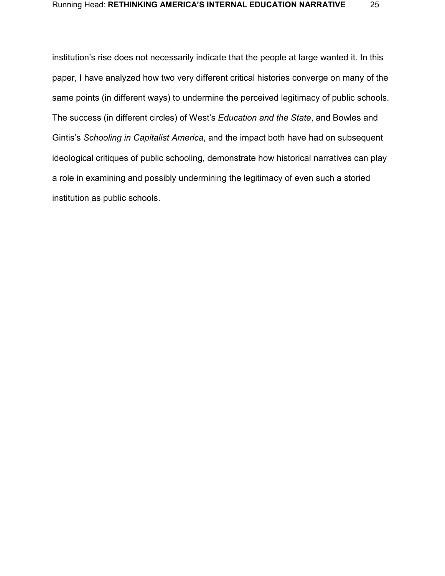institution's rise does not necessarily indicate that the people at large wanted it. In this paper, I have analyzed how two very different critical histories converge on many of the same points (in different ways) to undermine the perceived legitimacy of public schools. The success (in different circles) of West's *Education and the State*, and Bowles and Gintis's *Schooling in Capitalist America*, and the impact both have had on subsequent ideological critiques of public schooling, demonstrate how historical narratives can play a role in examining and possibly undermining the legitimacy of even such a storied institution as public schools.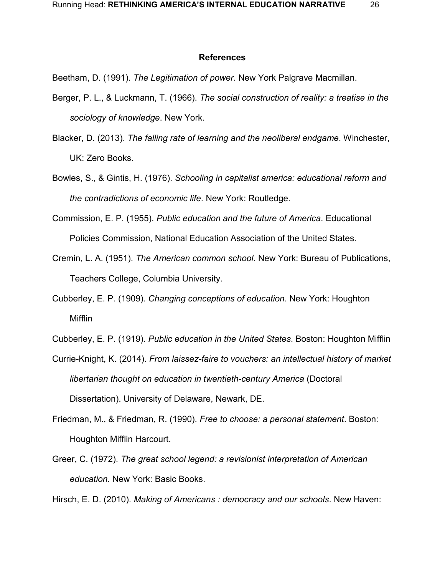#### **References**

[Beetham, D. \(1991\).](http://paperpile.com/b/GKGpPe/BZLC) *[The Legitimation of power](http://paperpile.com/b/GKGpPe/BZLC)*[. New](http://paperpile.com/b/GKGpPe/BZLC) [York Palgrave Macmillan.](http://paperpile.com/b/GKGpPe/BZLC)

- [Berger, P. L., & Luckmann, T. \(1966\).](http://paperpile.com/b/GKGpPe/5HJR) *[The social construction of reality: a treatise in the](http://paperpile.com/b/GKGpPe/5HJR)  [sociology of knowledge](http://paperpile.com/b/GKGpPe/5HJR)*[. New York.](http://paperpile.com/b/GKGpPe/5HJR)
- [Blacker, D. \(2013\).](http://paperpile.com/b/GKGpPe/Pm0v) *[The falling rate of learning and the neoliberal endgame](http://paperpile.com/b/GKGpPe/Pm0v)*[. W](http://paperpile.com/b/GKGpPe/Pm0v)inchester, UK: Zero Books.
- [Bowles, S., & Gintis, H. \(1976\).](http://paperpile.com/b/GKGpPe/rHZT) *[Schooling in capitalist america: educational reform and](http://paperpile.com/b/GKGpPe/rHZT)  [the contradictions of economic life](http://paperpile.com/b/GKGpPe/rHZT)*[. New York: Routledge.](http://paperpile.com/b/GKGpPe/rHZT)
- [Commission, E. P. \(1955\).](http://paperpile.com/b/GKGpPe/JR2T) *[Public education and the future of America](http://paperpile.com/b/GKGpPe/JR2T)*[. Educational](http://paperpile.com/b/GKGpPe/JR2T)  [Policies Commission, National Education Association of the United States.](http://paperpile.com/b/GKGpPe/JR2T)
- [Cremin, L. A. \(1951\).](http://paperpile.com/b/GKGpPe/KqWK) *[The American common school](http://paperpile.com/b/GKGpPe/KqWK)*[. New York: Bureau of Publications,](http://paperpile.com/b/GKGpPe/KqWK)  [Teachers College, Columbia University.](http://paperpile.com/b/GKGpPe/KqWK)
- [Cubberley, E. P. \(1909\).](http://paperpile.com/b/GKGpPe/NGTI) *[Changing conceptions of education](http://paperpile.com/b/GKGpPe/NGTI)*[.](http://paperpile.com/b/GKGpPe/NGTI) New York: Houghton Mifflin
- [Cubberley, E. P. \(1919\).](http://paperpile.com/b/GKGpPe/leOW) *[Public education in the United States](http://paperpile.com/b/GKGpPe/leOW)*. Boston: Houghton Mifflin
- [Currie-Knight, K. \(2014\).](http://paperpile.com/b/GKGpPe/GfaK) *[From laissez-faire to vouchers: an intellectual history of market](http://paperpile.com/b/GKGpPe/GfaK)  [libertarian thought on education in twentieth-century America](http://paperpile.com/b/GKGpPe/GfaK)* [\(Doctoral](http://paperpile.com/b/GKGpPe/GfaK)  [Dissertation\). University of Delaware,](http://paperpile.com/b/GKGpPe/GfaK) Newark, DE.
- [Friedman, M., & Friedman, R. \(1990\).](http://paperpile.com/b/GKGpPe/YMEM) *[Free to choose: a personal statement](http://paperpile.com/b/GKGpPe/YMEM)*[. Boston:](http://paperpile.com/b/GKGpPe/YMEM)  [Houghton Mifflin](http://paperpile.com/b/GKGpPe/YMEM) Harcourt.
- [Greer, C. \(1972\).](http://paperpile.com/b/GKGpPe/JENe) *[The great school legend:](http://paperpile.com/b/GKGpPe/JENe) a revisionist interpretation of American education.* New York: Basic Books.

[Hirsch, E. D. \(2010\).](http://paperpile.com/b/GKGpPe/yow8) *[Making of Americans : democracy and our schools](http://paperpile.com/b/GKGpPe/yow8)*[. New Haven:](http://paperpile.com/b/GKGpPe/yow8)